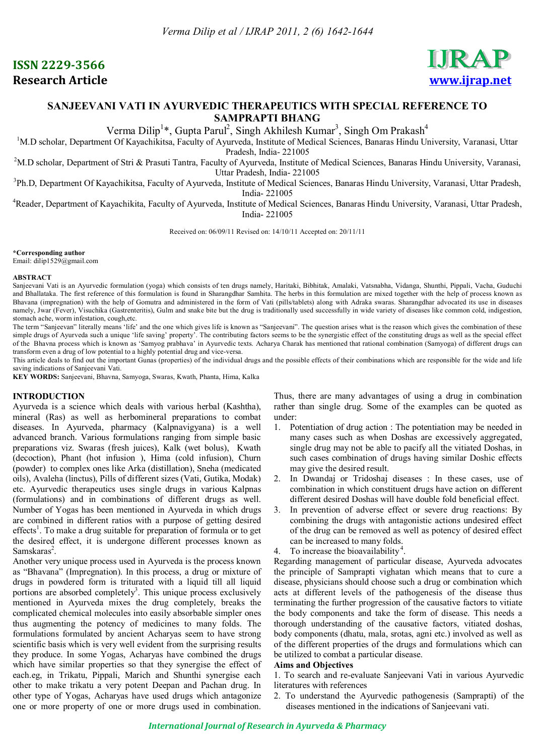# **ISSN 2229-3566 Research Article www.ijrap.net**



## **SANJEEVANI VATI IN AYURVEDIC THERAPEUTICS WITH SPECIAL REFERENCE TO SAMPRAPTI BHANG**

Verma Dilip<sup>1</sup>\*, Gupta Parul<sup>2</sup>, Singh Akhilesh Kumar<sup>3</sup>, Singh Om Prakash<sup>4</sup>

<sup>1</sup>M.D scholar, Department Of Kayachikitsa, Faculty of Ayurveda, Institute of Medical Sciences, Banaras Hindu University, Varanasi, Uttar Pradesh, India- 221005

 $2$ M.D scholar, Department of Stri & Prasuti Tantra, Faculty of Ayurveda, Institute of Medical Sciences, Banaras Hindu University, Varanasi, Uttar Pradesh, India- 221005

<sup>3</sup>Ph.D, Department Of Kayachikitsa, Faculty of Ayurveda, Institute of Medical Sciences, Banaras Hindu University, Varanasi, Uttar Pradesh, India- 221005

<sup>4</sup>Reader, Department of Kayachikita, Faculty of Ayurveda, Institute of Medical Sciences, Banaras Hindu University, Varanasi, Uttar Pradesh, India- 221005

Received on: 06/09/11 Revised on: 14/10/11 Accepted on: 20/11/11

**\*Corresponding author**

Email: dilip1529@gmail.com

### **ABSTRACT**

Sanjeevani Vati is an Ayurvedic formulation (yoga) which consists of ten drugs namely, Haritaki, Bibhitak, Amalaki, Vatsnabha, Vidanga, Shunthi, Pippali, Vacha, Guduchi and Bhallataka. The first reference of this formulation is found in Sharangdhar Samhita. The herbs in this formulation are mixed together with the help of process known as Bhavana (impregnation) with the help of Gomutra and administered in the form of Vati (pills/tablets) along with Adraka swaras. Sharangdhar advocated its use in diseases namely, Jwar (Fever), Visuchika (Gastrenteritis), Gulm and snake bite but the drug is traditionally used successfully in wide variety of diseases like common cold, indigestion, stomach ache, worm infestation, cough,etc.

The term "Sanjeevan" literally means 'life' and the one which gives life is known as "Sanjeevani". The question arises what is the reason which gives the combination of these simple drugs of Ayurveda such a unique 'life saving' property'. The contributing factors seems to be the synergistic effect of the constituting drugs as well as the special effect of the Bhavna process which is known as 'Samyog prabhava' in Ayurvedic texts. Acharya Charak has mentioned that rational combination (Samyoga) of different drugs can transform even a drug of low potential to a highly potential drug and vice-versa.

This article deals to find out the important Gunas (properties) of the individual drugs and the possible effects of their combinations which are responsible for the wide and life saving indications of Sanjeevani Vati.

**KEY WORDS:** Sanjeevani, Bhavna, Samyoga, Swaras, Kwath, Phanta, Hima, Kalka

### **INTRODUCTION**

Ayurveda is a science which deals with various herbal (Kashtha), mineral (Ras) as well as herbomineral preparations to combat diseases. In Ayurveda, pharmacy (Kalpnavigyana) is a well advanced branch. Various formulations ranging from simple basic preparations viz. Swaras (fresh juices), Kalk (wet bolus), Kwath (decoction), Phant (hot infusion ), Hima (cold infusion), Churn (powder) to complex ones like Arka (distillation), Sneha (medicated oils), Avaleha (linctus), Pills of different sizes (Vati, Gutika, Modak) etc. Ayurvedic therapeutics uses single drugs in various Kalpnas (formulations) and in combinations of different drugs as well. Number of Yogas has been mentioned in Ayurveda in which drugs are combined in different ratios with a purpose of getting desired effects<sup>1</sup>. To make a drug suitable for preparation of formula or to get the desired effect, it is undergone different processes known as Samskaras<sup>2</sup>.

Another very unique process used in Ayurveda is the process known as "Bhavana" (Impregnation). In this process, a drug or mixture of drugs in powdered form is triturated with a liquid till all liquid portions are absorbed completely<sup>3</sup>. This unique process exclusively mentioned in Ayurveda mixes the drug completely, breaks the complicated chemical molecules into easily absorbable simpler ones thus augmenting the potency of medicines to many folds. The formulations formulated by ancient Acharyas seem to have strong scientific basis which is very well evident from the surprising results they produce. In some Yogas, Acharyas have combined the drugs which have similar properties so that they synergise the effect of each.eg, in Trikatu, Pippali, Marich and Shunthi synergise each other to make trikatu a very potent Deepan and Pachan drug. In other type of Yogas, Acharyas have used drugs which antagonize one or more property of one or more drugs used in combination.

Thus, there are many advantages of using a drug in combination rather than single drug. Some of the examples can be quoted as under:

- 1. Potentiation of drug action : The potentiation may be needed in many cases such as when Doshas are excessively aggregated, single drug may not be able to pacify all the vitiated Doshas, in such cases combination of drugs having similar Doshic effects may give the desired result.
- 2. In Dwandaj or Tridoshaj diseases : In these cases, use of combination in which constituent drugs have action on different different desired Doshas will have double fold beneficial effect.
- 3. In prevention of adverse effect or severe drug reactions: By combining the drugs with antagonistic actions undesired effect of the drug can be removed as well as potency of desired effect can be increased to many folds.
- 4. To increase the bioavailability<sup>4</sup>.

Regarding management of particular disease, Ayurveda advocates the principle of Samprapti vighatan which means that to cure a disease, physicians should choose such a drug or combination which acts at different levels of the pathogenesis of the disease thus terminating the further progression of the causative factors to vitiate the body components and take the form of disease. This needs a thorough understanding of the causative factors, vitiated doshas, body components (dhatu, mala, srotas, agni etc.) involved as well as of the different properties of the drugs and formulations which can be utilized to combat a particular disease.

#### **Aims and Objectives**

1. To search and re-evaluate Sanjeevani Vati in various Ayurvedic literatures with references

2. To understand the Ayurvedic pathogenesis (Samprapti) of the diseases mentioned in the indications of Sanjeevani vati.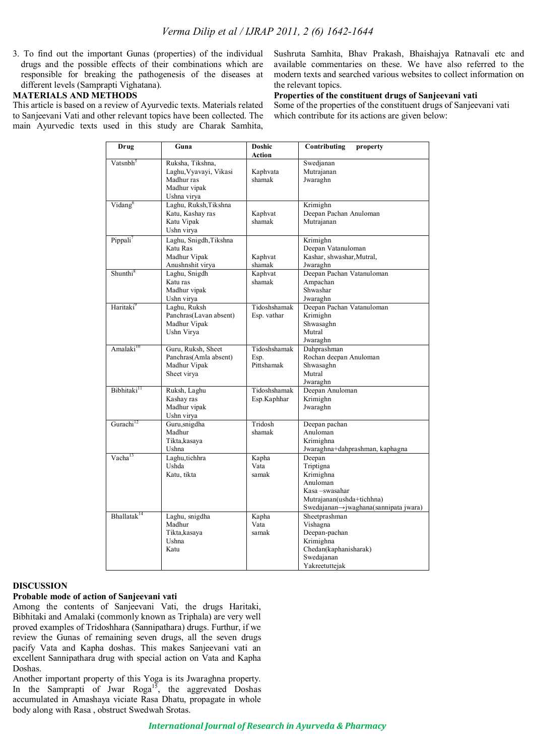3. To find out the important Gunas (properties) of the individual drugs and the possible effects of their combinations which are responsible for breaking the pathogenesis of the diseases at different levels (Samprapti Vighatana).

### **MATERIALS AND METHODS**

This article is based on a review of Ayurvedic texts. Materials related to Sanjeevani Vati and other relevant topics have been collected. The main Ayurvedic texts used in this study are Charak Samhita,

Sushruta Samhita, Bhav Prakash, Bhaishajya Ratnavali etc and available commentaries on these. We have also referred to the modern texts and searched various websites to collect information on the relevant topics.

## **Properties of the constituent drugs of Sanjeevani vati**

Some of the properties of the constituent drugs of Sanjeevani vati which contribute for its actions are given below:

| Drug                    | Guna                                 | <b>Doshic</b>      | Contributing<br>property             |
|-------------------------|--------------------------------------|--------------------|--------------------------------------|
|                         |                                      | Action             |                                      |
| Vatsnbh <sup>3</sup>    | Ruksha, Tikshna,                     |                    | Swedjanan                            |
|                         | Laghu, Vyavayi, Vikasi<br>Madhur ras | Kaphvata<br>shamak | Mutrajanan                           |
|                         | Madhur vipak                         |                    | Jwaraghn                             |
|                         | Ushna virya                          |                    |                                      |
| Vidang <sup>6</sup>     | Laghu, Ruksh, Tikshna                |                    | Krimighn                             |
|                         | Katu, Kashay ras                     | Kaphvat            | Deepan Pachan Anuloman               |
|                         | Katu Vipak                           | shamak             | Mutrajanan                           |
|                         | Ushn virya                           |                    |                                      |
| Pippali <sup>7</sup>    | Laghu, Snigdh, Tikshna               |                    | Krimighn                             |
|                         | Katu Ras                             |                    | Deepan Vatanuloman                   |
|                         | Madhur Vipak                         | Kaphvat            | Kashar, shwashar, Mutral,            |
|                         | Anushnshit virya                     | shamak             | Jwaraghn                             |
| Shunthi <sup>8</sup>    | Laghu, Snigdh                        | Kaphvat            | Deepan Pachan Vatanuloman            |
|                         | Katu ras                             | shamak             | Ampachan                             |
|                         | Madhur vipak                         |                    | Shwashar                             |
|                         | Ushn virya                           |                    | Jwaraghn                             |
| Haritaki <sup>9</sup>   | Laghu, Ruksh                         | Tidoshshamak       | Deepan Pachan Vatanuloman            |
|                         | Panchras(Lavan absent)               | Esp. vathar        | Krimighn                             |
|                         | Madhur Vipak                         |                    | Shwasaghn<br>Mutral                  |
|                         | Ushn Virya                           |                    | Jwaraghn                             |
| Amalaki <sup>10</sup>   | Guru, Ruksh, Sheet                   | Tidoshshamak       | Dahprashman                          |
|                         | Panchras(Amla absent)                | Esp.               | Rochan deepan Anuloman               |
|                         | Madhur Vipak                         | Pittshamak         | Shwasaghn                            |
|                         | Sheet virya                          |                    | Mutral                               |
|                         |                                      |                    | Jwaraghn                             |
| Bibhitaki <sup>11</sup> | Ruksh, Laghu                         | Tidoshshamak       | Deepan Anuloman                      |
|                         | Kashay ras                           | Esp.Kaphhar        | Krimighn                             |
|                         | Madhur vipak                         |                    | Jwaraghn                             |
|                         | Ushn virya                           |                    |                                      |
| Gurachi <sup>12</sup>   | Guru, snigdha                        | Tridosh            | Deepan pachan                        |
|                         | Madhur                               | shamak             | Anuloman                             |
|                         | Tikta, kasaya                        |                    | Krimighna                            |
|                         | Ushna                                |                    | Jwaraghna+dahprashman, kaphagna      |
| Vacha <sup>13</sup>     | Laghu, tichhra                       | Kapha              | Deepan                               |
|                         | Ushda                                | Vata               | Triptigna                            |
|                         | Katu, tikta                          | samak              | Krimighna<br>Anuloman                |
|                         |                                      |                    | Kasa -swasahar                       |
|                         |                                      |                    | Mutrajanan(ushda+tichhna)            |
|                         |                                      |                    | Swedajanan→jwaghana(sannipata jwara) |
| Bhallatak <sup>14</sup> | Laghu, snigdha                       | Kapha              | Sheetprashman                        |
|                         | Madhur                               | Vata               | Vishagna                             |
|                         | Tikta, kasaya                        | samak              | Deepan-pachan                        |
|                         | Ushna                                |                    | Krimighna                            |
|                         | Katu                                 |                    | Chedan(kaphanisharak)                |
|                         |                                      |                    | Swedajanan                           |
|                         |                                      |                    | Yakreetuttejak                       |

## **DISCUSSION**

## **Probable mode of action of Sanjeevani vati**

Among the contents of Sanjeevani Vati, the drugs Haritaki, Bibhitaki and Amalaki (commonly known as Triphala) are very well proved examples of Tridoshhara (Sannipathara) drugs. Furthur, if we review the Gunas of remaining seven drugs, all the seven drugs pacify Vata and Kapha doshas. This makes Sanjeevani vati an excellent Sannipathara drug with special action on Vata and Kapha Doshas.

Another important property of this Yoga is its Jwaraghna property. In the Samprapti of Jwar  $Roga^{15}$ , the aggrevated Doshas accumulated in Amashaya viciate Rasa Dhatu, propagate in whole body along with Rasa , obstruct Swedwah Srotas.